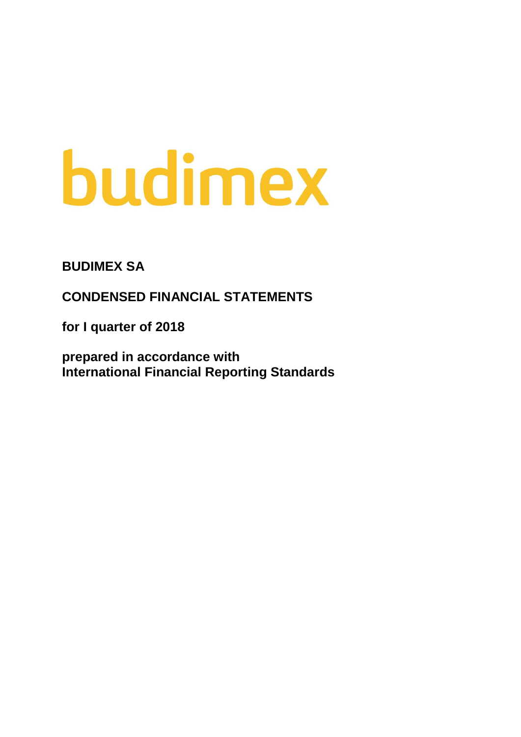# budimex

**BUDIMEX SA**

**CONDENSED FINANCIAL STATEMENTS**

**for I quarter of 2018**

**prepared in accordance with International Financial Reporting Standards**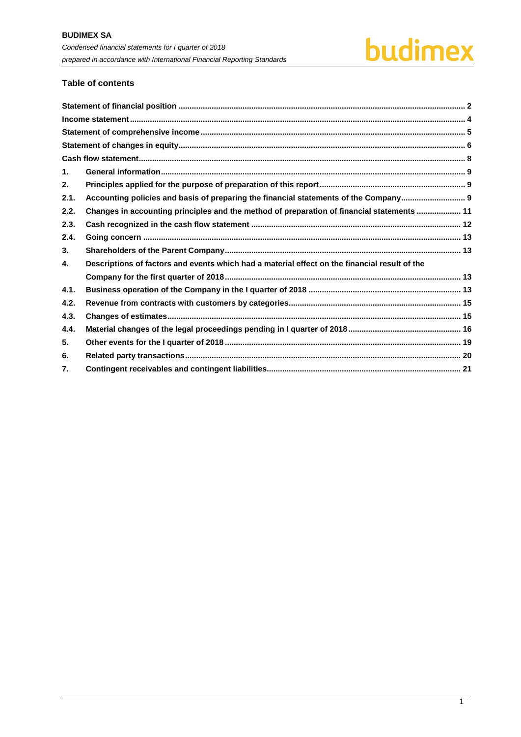

# **Table of contents**

| $\mathbf 1$ . |                                                                                               |  |
|---------------|-----------------------------------------------------------------------------------------------|--|
| 2.            |                                                                                               |  |
| 2.1.          | Accounting policies and basis of preparing the financial statements of the Company            |  |
| 2.2.          | Changes in accounting principles and the method of preparation of financial statements  11    |  |
| 2.3.          |                                                                                               |  |
| 2.4.          |                                                                                               |  |
| 3.            |                                                                                               |  |
| 4.            | Descriptions of factors and events which had a material effect on the financial result of the |  |
|               |                                                                                               |  |
| 4.1.          |                                                                                               |  |
| 4.2.          |                                                                                               |  |
| 4.3.          |                                                                                               |  |
| 4.4.          |                                                                                               |  |
| 5.            |                                                                                               |  |
| 6.            |                                                                                               |  |
| 7.            |                                                                                               |  |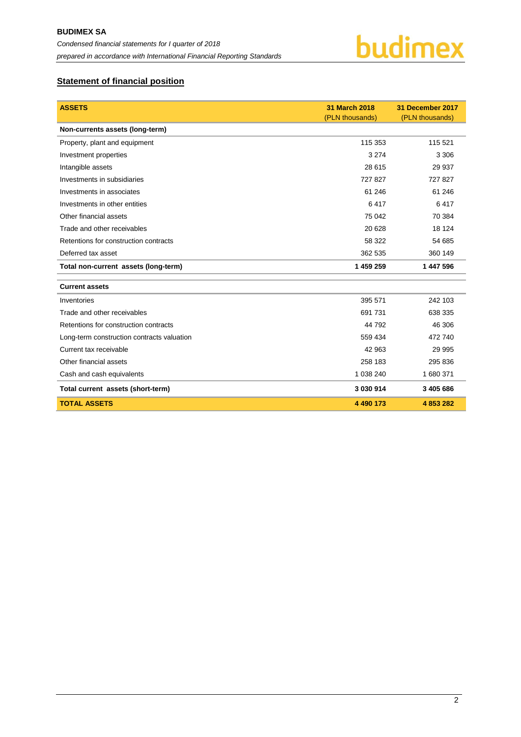

# <span id="page-2-0"></span>**Statement of financial position**

| <b>ASSETS</b>                              | 31 March 2018<br>(PLN thousands) | 31 December 2017<br>(PLN thousands) |
|--------------------------------------------|----------------------------------|-------------------------------------|
| Non-currents assets (long-term)            |                                  |                                     |
| Property, plant and equipment              | 115 353                          | 115 521                             |
| Investment properties                      | 3 2 7 4                          | 3 3 0 6                             |
| Intangible assets                          | 28 615                           | 29 937                              |
| Investments in subsidiaries                | 727827                           | 727 827                             |
| Investments in associates                  | 61 246                           | 61 24 6                             |
| Investments in other entities              | 6417                             | 6417                                |
| Other financial assets                     | 75 042                           | 70 384                              |
| Trade and other receivables                | 20 6 28                          | 18 124                              |
| Retentions for construction contracts      | 58 322                           | 54 685                              |
| Deferred tax asset                         | 362 535                          | 360 149                             |
| Total non-current assets (long-term)       | 1 459 259                        | 1 447 596                           |
| <b>Current assets</b>                      |                                  |                                     |
| Inventories                                | 395 571                          | 242 103                             |
| Trade and other receivables                | 691 731                          | 638 335                             |
| Retentions for construction contracts      | 44 792                           | 46 30 6                             |
| Long-term construction contracts valuation | 559 434                          | 472 740                             |
| Current tax receivable                     | 42 963                           | 29 995                              |
| Other financial assets                     | 258 183                          | 295 836                             |
| Cash and cash equivalents                  | 1 038 240                        | 1 680 371                           |
| Total current assets (short-term)          | 3 030 914                        | 3 405 686                           |
| <b>TOTAL ASSETS</b>                        | 4 490 173                        | 4 853 282                           |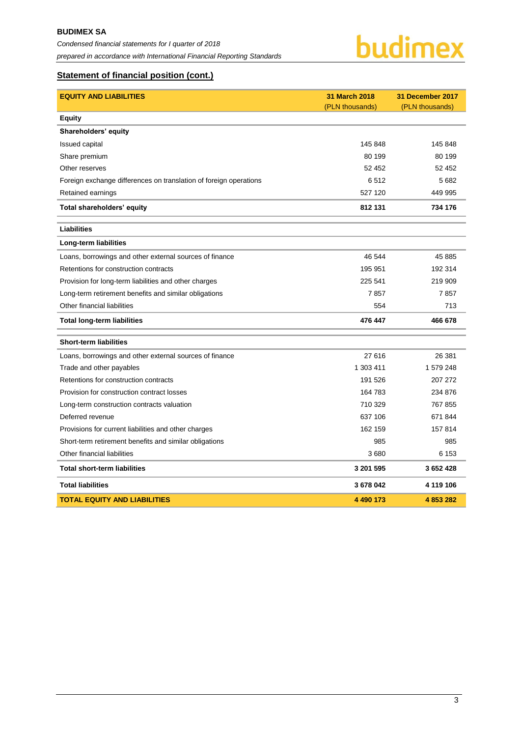

# **Statement of financial position (cont.)**

| <b>EQUITY AND LIABILITIES</b>                                     | 31 March 2018   | 31 December 2017 |
|-------------------------------------------------------------------|-----------------|------------------|
|                                                                   | (PLN thousands) | (PLN thousands)  |
| <b>Equity</b>                                                     |                 |                  |
| Shareholders' equity                                              |                 |                  |
| <b>Issued capital</b>                                             | 145 848         | 145 848          |
| Share premium                                                     | 80 199          | 80 199           |
| Other reserves                                                    | 52 452          | 52 452           |
| Foreign exchange differences on translation of foreign operations | 6512            | 5682             |
| Retained earnings                                                 | 527 120         | 449 995          |
| Total shareholders' equity                                        | 812 131         | 734 176          |
| <b>Liabilities</b>                                                |                 |                  |
| Long-term liabilities                                             |                 |                  |
| Loans, borrowings and other external sources of finance           | 46 544          | 45 885           |
| Retentions for construction contracts                             | 195 951         | 192 314          |
| Provision for long-term liabilities and other charges             | 225 541         | 219 909          |
| Long-term retirement benefits and similar obligations             | 7857            | 7857             |
| Other financial liabilities                                       | 554             | 713              |
| <b>Total long-term liabilities</b>                                | 476 447         | 466 678          |
| <b>Short-term liabilities</b>                                     |                 |                  |
| Loans, borrowings and other external sources of finance           | 27 616          | 26 381           |
| Trade and other payables                                          | 1 303 411       | 1 579 248        |
| Retentions for construction contracts                             | 191 526         | 207 272          |
| Provision for construction contract losses                        | 164 783         | 234 876          |
| Long-term construction contracts valuation                        | 710 329         | 767 855          |
| Deferred revenue                                                  | 637 106         | 671 844          |
| Provisions for current liabilities and other charges              | 162 159         | 157 814          |
| Short-term retirement benefits and similar obligations            | 985             | 985              |
| Other financial liabilities                                       | 3680            | 6 153            |
| <b>Total short-term liabilities</b>                               | 3 201 595       | 3 652 428        |
| <b>Total liabilities</b>                                          | 3 678 042       | 4 119 106        |
| <b>TOTAL EQUITY AND LIABILITIES</b>                               | 4 490 173       | 4853282          |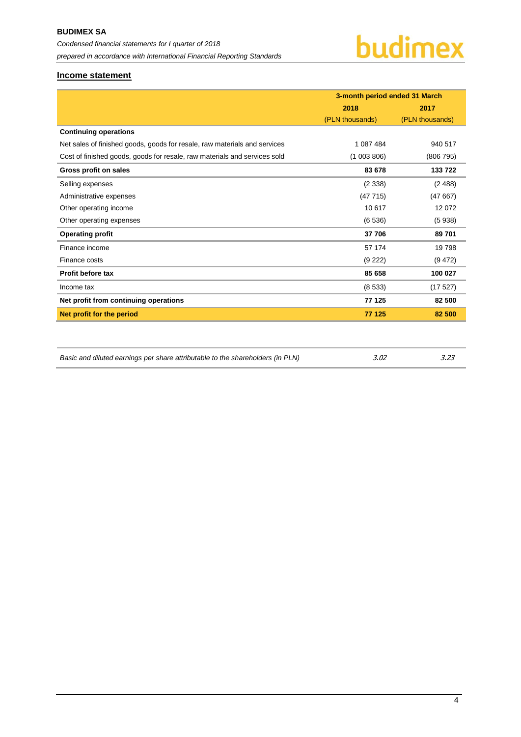

### <span id="page-4-0"></span>**Income statement**

|                                                                           | 3-month period ended 31 March |                 |  |
|---------------------------------------------------------------------------|-------------------------------|-----------------|--|
|                                                                           | 2018                          | 2017            |  |
|                                                                           | (PLN thousands)               | (PLN thousands) |  |
| <b>Continuing operations</b>                                              |                               |                 |  |
| Net sales of finished goods, goods for resale, raw materials and services | 1 087 484                     | 940 517         |  |
| Cost of finished goods, goods for resale, raw materials and services sold | (1003806)                     | (806795)        |  |
| Gross profit on sales                                                     | 83 678                        | 133 722         |  |
| Selling expenses                                                          | (2338)                        | (2488)          |  |
| Administrative expenses                                                   | (47715)                       | (47667)         |  |
| Other operating income                                                    | 10 617                        | 12 0 72         |  |
| Other operating expenses                                                  | (6536)                        | (5938)          |  |
| <b>Operating profit</b>                                                   | 37 706                        | 89 701          |  |
| Finance income                                                            | 57 174                        | 19798           |  |
| Finance costs                                                             | (9 222)                       | (9 472)         |  |
| Profit before tax                                                         | 85 658                        | 100 027         |  |
| Income tax                                                                | (8533)                        | (17527)         |  |
| Net profit from continuing operations                                     | 77 125                        | 82 500          |  |
| Net profit for the period                                                 | 77 125                        | 82 500          |  |
|                                                                           |                               |                 |  |

| Basic and diluted earnings per share attributable to the shareholders (in PLN) | 3.02 | 3.23 |
|--------------------------------------------------------------------------------|------|------|
|                                                                                |      |      |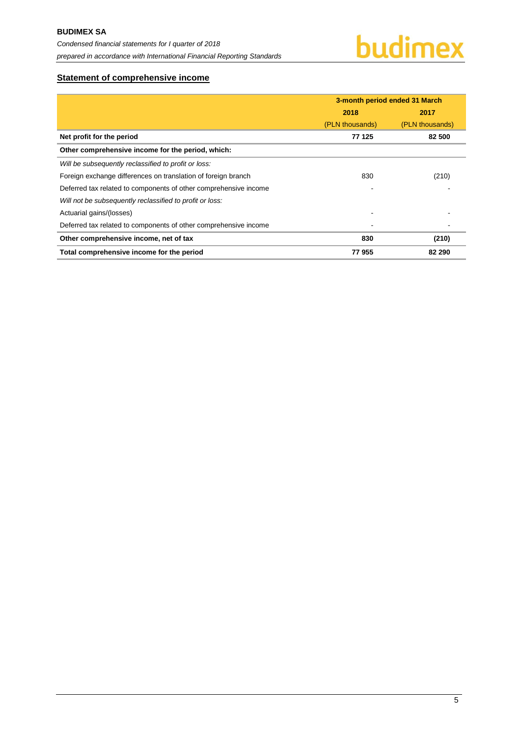# <span id="page-5-0"></span>**Statement of comprehensive income**

|                                                                  | 3-month period ended 31 March |                 |  |
|------------------------------------------------------------------|-------------------------------|-----------------|--|
|                                                                  | 2018<br>2017                  |                 |  |
|                                                                  | (PLN thousands)               | (PLN thousands) |  |
| Net profit for the period                                        | 77 125                        | 82 500          |  |
| Other comprehensive income for the period, which:                |                               |                 |  |
| Will be subsequently reclassified to profit or loss:             |                               |                 |  |
| Foreign exchange differences on translation of foreign branch    | 830                           | (210)           |  |
| Deferred tax related to components of other comprehensive income |                               |                 |  |
| Will not be subsequently reclassified to profit or loss:         |                               |                 |  |
| Actuarial gains/(losses)                                         |                               |                 |  |
| Deferred tax related to components of other comprehensive income |                               |                 |  |
| Other comprehensive income, net of tax                           | 830                           | (210)           |  |
| Total comprehensive income for the period                        | 77955                         | 82 290          |  |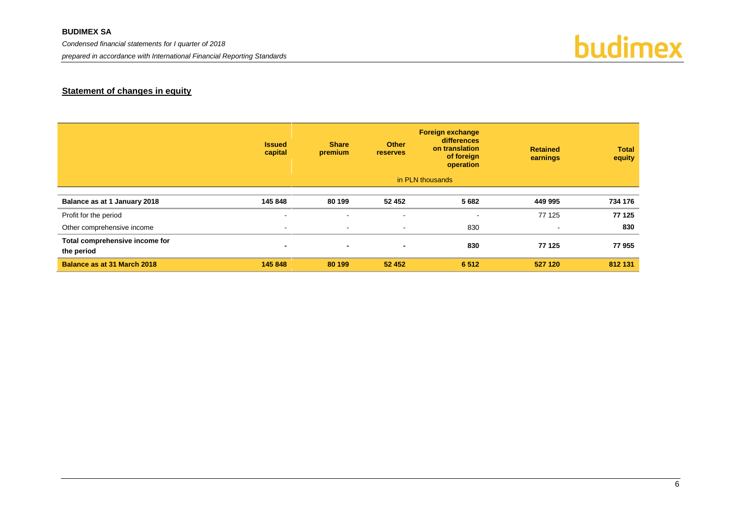#### **BUDIMEX SA**

*Condensed financial statements for I quarter of 2018*

*prepared in accordance with International Financial Reporting Standards*



# **Statement of changes in equity**

<span id="page-6-0"></span>

|                                              | <b>Issued</b><br>capital | <b>Share</b><br>premium | <b>Other</b><br><b>reserves</b> | <b>Foreign exchange</b><br>differences<br>on translation<br>of foreign<br>operation | <b>Retained</b><br>earnings | <b>Total</b><br>equity |
|----------------------------------------------|--------------------------|-------------------------|---------------------------------|-------------------------------------------------------------------------------------|-----------------------------|------------------------|
|                                              |                          |                         |                                 | in PLN thousands                                                                    |                             |                        |
| Balance as at 1 January 2018                 | 145 848                  | 80 199                  | 52 452                          | 5 6 8 2                                                                             | 449 995                     | 734 176                |
| Profit for the period                        | $\,$ $\,$                | $\blacksquare$          | $\blacksquare$                  | $\sim$                                                                              | 77 125                      | 77 125                 |
| Other comprehensive income                   | $\sim$                   | $\sim$                  | $\sim$                          | 830                                                                                 | $\sim$                      | 830                    |
| Total comprehensive income for<br>the period | $\blacksquare$           | $\blacksquare$          | $\blacksquare$                  | 830                                                                                 | 77 125                      | 77 955                 |
| <b>Balance as at 31 March 2018</b>           | 145 848                  | 80 199                  | 52 452                          | 6512                                                                                | 527 120                     | 812 131                |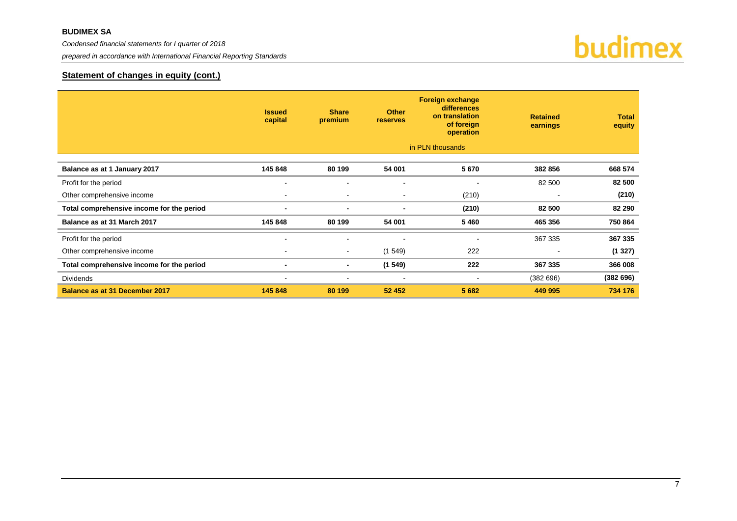*Condensed financial statements for I quarter of 2018*

*prepared in accordance with International Financial Reporting Standards*



# **Statement of changes in equity (cont.)**

|                                           | <b>Issued</b><br>capital | <b>Share</b><br>premium  | <b>Other</b><br><b>reserves</b> | <b>Foreign exchange</b><br><b>differences</b><br>on translation<br>of foreign<br>operation | <b>Retained</b><br>earnings | <b>Total</b><br>equity |
|-------------------------------------------|--------------------------|--------------------------|---------------------------------|--------------------------------------------------------------------------------------------|-----------------------------|------------------------|
|                                           |                          |                          |                                 | in PLN thousands                                                                           |                             |                        |
| Balance as at 1 January 2017              | 145 848                  | 80 199                   | 54 001                          | 5670                                                                                       | 382 856                     | 668 574                |
| Profit for the period                     |                          |                          |                                 |                                                                                            | 82 500                      | 82 500                 |
| Other comprehensive income                |                          | $\overline{\phantom{a}}$ | $\overline{\phantom{a}}$        | (210)                                                                                      |                             | (210)                  |
| Total comprehensive income for the period | ۰.                       | $\blacksquare$           | $\blacksquare$                  | (210)                                                                                      | 82 500                      | 82 290                 |
| Balance as at 31 March 2017               | 145 848                  | 80 199                   | 54 001                          | 5 4 6 0                                                                                    | 465 356                     | 750 864                |
| Profit for the period                     | ٠                        | $\overline{\phantom{a}}$ |                                 |                                                                                            | 367 335                     | 367 335                |
| Other comprehensive income                | $\overline{\phantom{a}}$ | $\sim$                   | (1549)                          | 222                                                                                        |                             | (1327)                 |
| Total comprehensive income for the period | ۰                        | $\blacksquare$           | (1549)                          | 222                                                                                        | 367 335                     | 366 008                |
| <b>Dividends</b>                          |                          |                          |                                 |                                                                                            | (382696)                    | (382696)               |
| <b>Balance as at 31 December 2017</b>     | 145 848                  | 80 199                   | 52 452                          | 5 6 8 2                                                                                    | 449 995                     | 734 176                |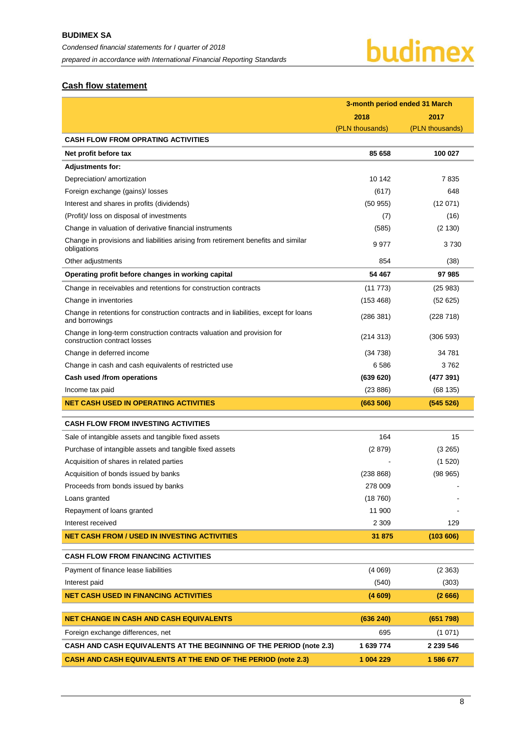# <span id="page-8-0"></span>**Cash flow statement**

|                                                                                                        | 3-month period ended 31 March |                 |  |
|--------------------------------------------------------------------------------------------------------|-------------------------------|-----------------|--|
|                                                                                                        | 2018                          | 2017            |  |
|                                                                                                        | (PLN thousands)               | (PLN thousands) |  |
| <b>CASH FLOW FROM OPRATING ACTIVITIES</b>                                                              |                               |                 |  |
| Net profit before tax                                                                                  | 85 658                        | 100 027         |  |
| <b>Adjustments for:</b>                                                                                |                               |                 |  |
| Depreciation/ amortization                                                                             | 10 142                        | 7835            |  |
| Foreign exchange (gains)/ losses                                                                       | (617)                         | 648             |  |
| Interest and shares in profits (dividends)                                                             | (50955)                       | (12071)         |  |
| (Profit)/ loss on disposal of investments                                                              | (7)                           | (16)            |  |
| Change in valuation of derivative financial instruments                                                | (585)                         | (2 130)         |  |
| Change in provisions and liabilities arising from retirement benefits and similar<br>obligations       | 9 9 7 7                       | 3730            |  |
| Other adjustments                                                                                      | 854                           | (38)            |  |
| Operating profit before changes in working capital                                                     | 54 467                        | 97 985          |  |
| Change in receivables and retentions for construction contracts                                        | (11773)                       | (25983)         |  |
| Change in inventories                                                                                  | (153 468)                     | (52625)         |  |
| Change in retentions for construction contracts and in liabilities, except for loans<br>and borrowings | (286 381)                     | (228 718)       |  |
| Change in long-term construction contracts valuation and provision for<br>construction contract losses | (214313)                      | (306593)        |  |
| Change in deferred income                                                                              | (34738)                       | 34 781          |  |
| Change in cash and cash equivalents of restricted use                                                  | 6586                          | 3762            |  |
| Cash used /from operations                                                                             | (639 620)                     | (477391)        |  |
| Income tax paid                                                                                        | (23 886)                      | (68135)         |  |
| <b>NET CASH USED IN OPERATING ACTIVITIES</b>                                                           | (663 506)                     | (545526)        |  |
| <b>CASH FLOW FROM INVESTING ACTIVITIES</b>                                                             |                               |                 |  |
| Sale of intangible assets and tangible fixed assets                                                    | 164                           | 15              |  |
| Purchase of intangible assets and tangible fixed assets                                                | (2879)                        | (3 265)         |  |
| Acquisition of shares in related parties                                                               |                               | (1520)          |  |
| Acquisition of bonds issued by banks                                                                   | (238 868)                     | (98965)         |  |
| Proceeds from bonds issued by banks                                                                    | 278 009                       |                 |  |
| Loans granted                                                                                          | (18760)                       |                 |  |
| Repayment of loans granted                                                                             | 11 900                        |                 |  |
| Interest received                                                                                      | 2 3 0 9                       | 129             |  |
| <b>NET CASH FROM / USED IN INVESTING ACTIVITIES</b>                                                    | 31 875                        | (103606)        |  |
| <b>CASH FLOW FROM FINANCING ACTIVITIES</b>                                                             |                               |                 |  |
| Payment of finance lease liabilities                                                                   | (4069)                        | (2363)          |  |
| Interest paid                                                                                          | (540)                         | (303)           |  |
| <b>NET CASH USED IN FINANCING ACTIVITIES</b>                                                           | (4609)                        | (2666)          |  |
|                                                                                                        |                               |                 |  |
| <b>NET CHANGE IN CASH AND CASH EQUIVALENTS</b>                                                         | (636 240)                     | (651 798)       |  |
| Foreign exchange differences, net                                                                      | 695                           | (1071)          |  |
| CASH AND CASH EQUIVALENTS AT THE BEGINNING OF THE PERIOD (note 2.3)                                    | 1 639 774                     | 2 239 546       |  |
| <b>CASH AND CASH EQUIVALENTS AT THE END OF THE PERIOD (note 2.3)</b>                                   | 1 004 229                     | 1 586 677       |  |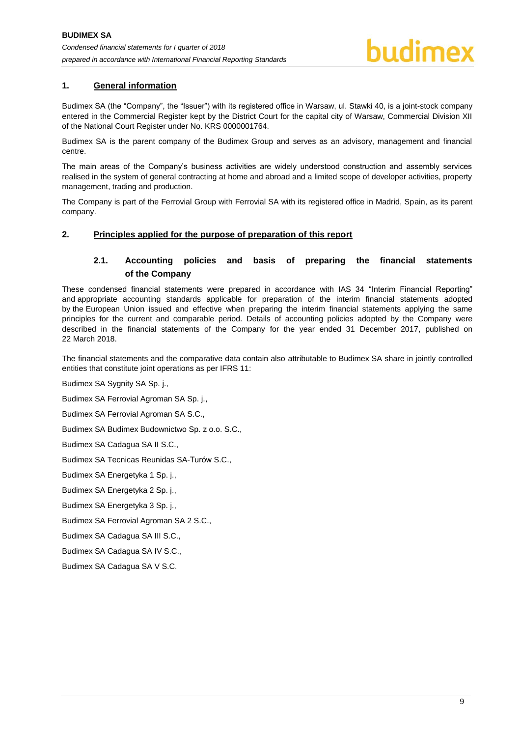# <span id="page-9-0"></span>**1. General information**

Budimex SA (the "Company", the "Issuer") with its registered office in Warsaw, ul. Stawki 40, is a joint-stock company entered in the Commercial Register kept by the District Court for the capital city of Warsaw, Commercial Division XII of the National Court Register under No. KRS 0000001764.

Budimex SA is the parent company of the Budimex Group and serves as an advisory, management and financial centre.

The main areas of the Company's business activities are widely understood construction and assembly services realised in the system of general contracting at home and abroad and a limited scope of developer activities, property management, trading and production.

The Company is part of the Ferrovial Group with Ferrovial SA with its registered office in Madrid, Spain, as its parent company.

#### <span id="page-9-2"></span><span id="page-9-1"></span>**2. Principles applied for the purpose of preparation of this report**

# **2.1. Accounting policies and basis of preparing the financial statements of the Company**

These condensed financial statements were prepared in accordance with IAS 34 "Interim Financial Reporting" and appropriate accounting standards applicable for preparation of the interim financial statements adopted by the European Union issued and effective when preparing the interim financial statements applying the same principles for the current and comparable period. Details of accounting policies adopted by the Company were described in the financial statements of the Company for the year ended 31 December 2017, published on 22 March 2018.

The financial statements and the comparative data contain also attributable to Budimex SA share in jointly controlled entities that constitute joint operations as per IFRS 11:

Budimex SA Sygnity SA Sp. j.,

Budimex SA Ferrovial Agroman SA Sp. j.,

Budimex SA Ferrovial Agroman SA S.C.,

Budimex SA Budimex Budownictwo Sp. z o.o. S.C.,

Budimex SA Cadagua SA II S.C.,

Budimex SA Tecnicas Reunidas SA-Turów S.C.,

Budimex SA Energetyka 1 Sp. j.,

Budimex SA Energetyka 2 Sp. j.,

Budimex SA Energetyka 3 Sp. j.,

Budimex SA Ferrovial Agroman SA 2 S.C.,

Budimex SA Cadagua SA III S.C.,

Budimex SA Cadagua SA IV S.C.,

Budimex SA Cadagua SA V S.C.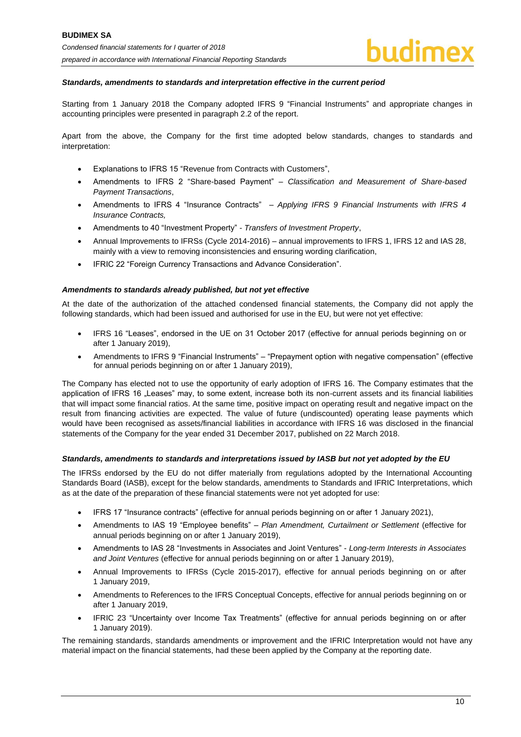#### *Standards, amendments to standards and interpretation effective in the current period*

Starting from 1 January 2018 the Company adopted IFRS 9 "Financial Instruments" and appropriate changes in accounting principles were presented in paragraph 2.2 of the report.

Apart from the above, the Company for the first time adopted below standards, changes to standards and interpretation:

- Explanations to IFRS 15 "Revenue from Contracts with Customers",
- Amendments to IFRS 2 "Share-based Payment" *Classification and Measurement of Share-based Payment Transactions*,
- Amendments to IFRS 4 "Insurance Contracts" *Applying IFRS 9 Financial Instruments with IFRS 4 Insurance Contracts,*
- Amendments to 40 "Investment Property" *Transfers of Investment Property*,
- Annual Improvements to IFRSs (Cycle 2014-2016) annual improvements to IFRS 1, IFRS 12 and IAS 28, mainly with a view to removing inconsistencies and ensuring wording clarification,
- IFRIC 22 "Foreign Currency Transactions and Advance Consideration".

#### *Amendments to standards already published, but not yet effective*

At the date of the authorization of the attached condensed financial statements, the Company did not apply the following standards, which had been issued and authorised for use in the EU, but were not yet effective:

- IFRS 16 "Leases", endorsed in the UE on 31 October 2017 (effective for annual periods beginning on or after 1 January 2019),
- Amendments to IFRS 9 "Financial Instruments" "Prepayment option with negative compensation" (effective for annual periods beginning on or after 1 January 2019),

The Company has elected not to use the opportunity of early adoption of IFRS 16. The Company estimates that the application of IFRS 16 "Leases" may, to some extent, increase both its non-current assets and its financial liabilities that will impact some financial ratios. At the same time, positive impact on operating result and negative impact on the result from financing activities are expected. The value of future (undiscounted) operating lease payments which would have been recognised as assets/financial liabilities in accordance with IFRS 16 was disclosed in the financial statements of the Company for the year ended 31 December 2017, published on 22 March 2018.

#### *Standards, amendments to standards and interpretations issued by IASB but not yet adopted by the EU*

The IFRSs endorsed by the EU do not differ materially from regulations adopted by the International Accounting Standards Board (IASB), except for the below standards, amendments to Standards and IFRIC Interpretations, which as at the date of the preparation of these financial statements were not yet adopted for use:

- IFRS 17 "Insurance contracts" (effective for annual periods beginning on or after 1 January 2021),
- Amendments to IAS 19 "Employee benefits" *Plan Amendment, Curtailment or Settlement* (effective for annual periods beginning on or after 1 January 2019),
- Amendments to IAS 28 "Investments in Associates and Joint Ventures" *Long-term Interests in Associates and Joint Ventures* (effective for annual periods beginning on or after 1 January 2019),
- Annual Improvements to IFRSs (Cycle 2015-2017), effective for annual periods beginning on or after 1 January 2019,
- Amendments to References to the IFRS Conceptual Concepts, effective for annual periods beginning on or after 1 January 2019,
- IFRIC 23 "Uncertainty over Income Tax Treatments" (effective for annual periods beginning on or after 1 January 2019).

The remaining standards, standards amendments or improvement and the IFRIC Interpretation would not have any material impact on the financial statements, had these been applied by the Company at the reporting date.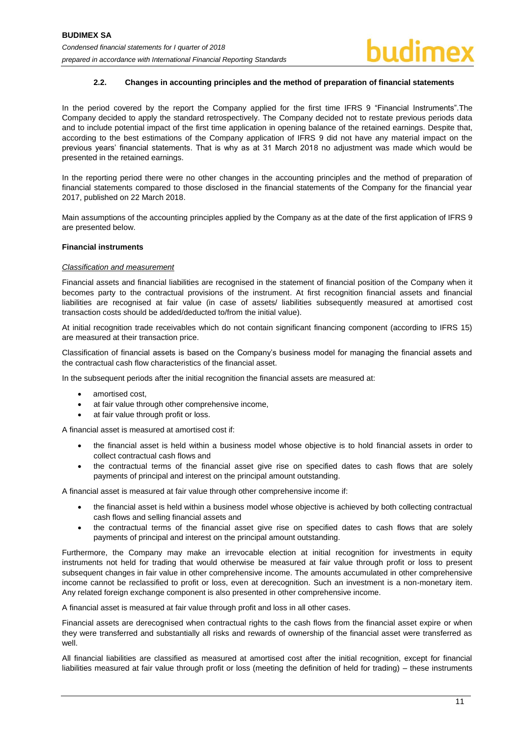#### **2.2. Changes in accounting principles and the method of preparation of financial statements**

<span id="page-11-0"></span>In the period covered by the report the Company applied for the first time IFRS 9 "Financial Instruments".The Company decided to apply the standard retrospectively. The Company decided not to restate previous periods data and to include potential impact of the first time application in opening balance of the retained earnings. Despite that, according to the best estimations of the Company application of IFRS 9 did not have any material impact on the previous years' financial statements. That is why as at 31 March 2018 no adjustment was made which would be presented in the retained earnings.

In the reporting period there were no other changes in the accounting principles and the method of preparation of financial statements compared to those disclosed in the financial statements of the Company for the financial year 2017, published on 22 March 2018.

Main assumptions of the accounting principles applied by the Company as at the date of the first application of IFRS 9 are presented below.

#### **Financial instruments**

#### *Classification and measurement*

Financial assets and financial liabilities are recognised in the statement of financial position of the Company when it becomes party to the contractual provisions of the instrument. At first recognition financial assets and financial liabilities are recognised at fair value (in case of assets/ liabilities subsequently measured at amortised cost transaction costs should be added/deducted to/from the initial value).

At initial recognition trade receivables which do not contain significant financing component (according to IFRS 15) are measured at their transaction price.

Classification of financial assets is based on the Company's business model for managing the financial assets and the contractual cash flow characteristics of the financial asset.

In the subsequent periods after the initial recognition the financial assets are measured at:

- amortised cost,
- at fair value through other comprehensive income,
- at fair value through profit or loss.

A financial asset is measured at amortised cost if:

- the financial asset is held within a business model whose objective is to hold financial assets in order to collect contractual cash flows and
- the contractual terms of the financial asset give rise on specified dates to cash flows that are solely payments of principal and interest on the principal amount outstanding.

A financial asset is measured at fair value through other comprehensive income if:

- the financial asset is held within a business model whose objective is achieved by both collecting contractual cash flows and selling financial assets and
- the contractual terms of the financial asset give rise on specified dates to cash flows that are solely payments of principal and interest on the principal amount outstanding.

Furthermore, the Company may make an irrevocable election at initial recognition for investments in equity instruments not held for trading that would otherwise be measured at fair value through profit or loss to present subsequent changes in fair value in other comprehensive income. The amounts accumulated in other comprehensive income cannot be reclassified to profit or loss, even at derecognition. Such an investment is a non-monetary item. Any related foreign exchange component is also presented in other comprehensive income.

A financial asset is measured at fair value through profit and loss in all other cases.

Financial assets are derecognised when contractual rights to the cash flows from the financial asset expire or when they were transferred and substantially all risks and rewards of ownership of the financial asset were transferred as well.

All financial liabilities are classified as measured at amortised cost after the initial recognition, except for financial liabilities measured at fair value through profit or loss (meeting the definition of held for trading) – these instruments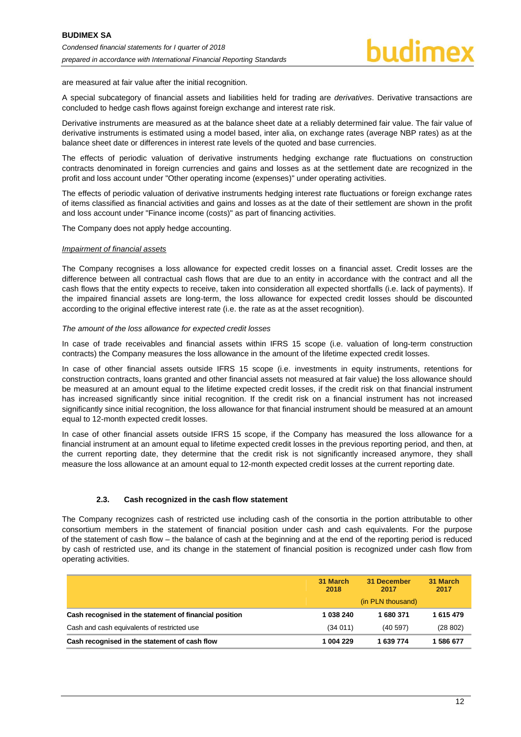are measured at fair value after the initial recognition.

A special subcategory of financial assets and liabilities held for trading are *derivatives*. Derivative transactions are concluded to hedge cash flows against foreign exchange and interest rate risk.

Derivative instruments are measured as at the balance sheet date at a reliably determined fair value. The fair value of derivative instruments is estimated using a model based, inter alia, on exchange rates (average NBP rates) as at the balance sheet date or differences in interest rate levels of the quoted and base currencies.

The effects of periodic valuation of derivative instruments hedging exchange rate fluctuations on construction contracts denominated in foreign currencies and gains and losses as at the settlement date are recognized in the profit and loss account under "Other operating income (expenses)" under operating activities.

The effects of periodic valuation of derivative instruments hedging interest rate fluctuations or foreign exchange rates of items classified as financial activities and gains and losses as at the date of their settlement are shown in the profit and loss account under "Finance income (costs)" as part of financing activities.

The Company does not apply hedge accounting.

#### *Impairment of financial assets*

The Company recognises a loss allowance for expected credit losses on a financial asset. Credit losses are the difference between all contractual cash flows that are due to an entity in accordance with the contract and all the cash flows that the entity expects to receive, taken into consideration all expected shortfalls (i.e. lack of payments). If the impaired financial assets are long-term, the loss allowance for expected credit losses should be discounted according to the original effective interest rate (i.e. the rate as at the asset recognition).

#### *The amount of the loss allowance for expected credit losses*

In case of trade receivables and financial assets within IFRS 15 scope (i.e. valuation of long-term construction contracts) the Company measures the loss allowance in the amount of the lifetime expected credit losses.

In case of other financial assets outside IFRS 15 scope (i.e. investments in equity instruments, retentions for construction contracts, loans granted and other financial assets not measured at fair value) the loss allowance should be measured at an amount equal to the lifetime expected credit losses, if the credit risk on that financial instrument has increased significantly since initial recognition. If the credit risk on a financial instrument has not increased significantly since initial recognition, the loss allowance for that financial instrument should be measured at an amount equal to 12-month expected credit losses.

In case of other financial assets outside IFRS 15 scope, if the Company has measured the loss allowance for a financial instrument at an amount equal to lifetime expected credit losses in the previous reporting period, and then, at the current reporting date, they determine that the credit risk is not significantly increased anymore, they shall measure the loss allowance at an amount equal to 12-month expected credit losses at the current reporting date.

#### **2.3. Cash recognized in the cash flow statement**

<span id="page-12-0"></span>The Company recognizes cash of restricted use including cash of the consortia in the portion attributable to other consortium members in the statement of financial position under cash and cash equivalents. For the purpose of the statement of cash flow – the balance of cash at the beginning and at the end of the reporting period is reduced by cash of restricted use, and its change in the statement of financial position is recognized under cash flow from operating activities.

|                                                                                                       | 31 March<br>2018     | 31 December<br>2017<br>(in PLN thousand) | 31 March<br>2017   |
|-------------------------------------------------------------------------------------------------------|----------------------|------------------------------------------|--------------------|
| Cash recognised in the statement of financial position<br>Cash and cash equivalents of restricted use | 1 038 240<br>(34011) | 680 371<br>(40597)                       | 1615479<br>(28802) |
| Cash recognised in the statement of cash flow                                                         | 1 004 229            | 1 639 774                                | 1 586 677          |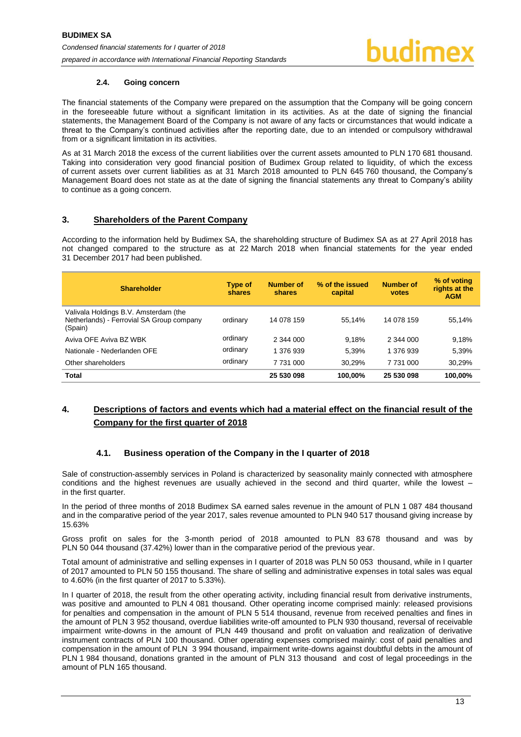#### **2.4. Going concern**

<span id="page-13-0"></span>The financial statements of the Company were prepared on the assumption that the Company will be going concern in the foreseeable future without a significant limitation in its activities. As at the date of signing the financial statements, the Management Board of the Company is not aware of any facts or circumstances that would indicate a threat to the Company's continued activities after the reporting date, due to an intended or compulsory withdrawal from or a significant limitation in its activities.

As at 31 March 2018 the excess of the current liabilities over the current assets amounted to PLN 170 681 thousand. Taking into consideration very good financial position of Budimex Group related to liquidity, of which the excess of current assets over current liabilities as at 31 March 2018 amounted to PLN 645 760 thousand, the Company's Management Board does not state as at the date of signing the financial statements any threat to Company's ability to continue as a going concern.

#### <span id="page-13-1"></span>**3. Shareholders of the Parent Company**

According to the information held by Budimex SA, the shareholding structure of Budimex SA as at 27 April 2018 has not changed compared to the structure as at 22 March 2018 when financial statements for the year ended 31 December 2017 had been published.

| <b>Shareholder</b>                                                                            | Type of<br>shares | <b>Number of</b><br>shares | % of the issued<br>capital | Number of<br>votes | % of voting<br>rights at the<br><b>AGM</b> |
|-----------------------------------------------------------------------------------------------|-------------------|----------------------------|----------------------------|--------------------|--------------------------------------------|
| Valivala Holdings B.V. Amsterdam (the<br>Netherlands) - Ferrovial SA Group company<br>(Spain) | ordinary          | 14 078 159                 | 55.14%                     | 14 078 159         | 55,14%                                     |
| Aviva OFE Aviva BZ WBK                                                                        | ordinary          | 2 344 000                  | 9.18%                      | 2 344 000          | 9,18%                                      |
| Nationale - Nederlanden OFE                                                                   | ordinary          | 1 376 939                  | 5.39%                      | 1 376 939          | 5,39%                                      |
| Other shareholders                                                                            | ordinary          | 7 731 000                  | 30.29%                     | 7 731 000          | 30,29%                                     |
| <b>Total</b>                                                                                  |                   | 25 530 098                 | 100.00%                    | 25 530 098         | 100.00%                                    |

# <span id="page-13-2"></span>**4. Descriptions of factors and events which had a material effect on the financial result of the Company for the first quarter of 2018**

### **4.1. Business operation of the Company in the I quarter of 2018**

<span id="page-13-3"></span>Sale of construction-assembly services in Poland is characterized by seasonality mainly connected with atmosphere conditions and the highest revenues are usually achieved in the second and third quarter, while the lowest – in the first quarter.

In the period of three months of 2018 Budimex SA earned sales revenue in the amount of PLN 1 087 484 thousand and in the comparative period of the year 2017, sales revenue amounted to PLN 940 517 thousand giving increase by 15.63%

Gross profit on sales for the 3-month period of 2018 amounted to PLN 83 678 thousand and was by PLN 50 044 thousand (37.42%) lower than in the comparative period of the previous year.

Total amount of administrative and selling expenses in I quarter of 2018 was PLN 50 053 thousand, while in I quarter of 2017 amounted to PLN 50 155 thousand. The share of selling and administrative expenses in total sales was equal to 4.60% (in the first quarter of 2017 to 5.33%).

In I quarter of 2018, the result from the other operating activity, including financial result from derivative instruments, was positive and amounted to PLN 4 081 thousand. Other operating income comprised mainly: released provisions for penalties and compensation in the amount of PLN 5 514 thousand, revenue from received penalties and fines in the amount of PLN 3 952 thousand, overdue liabilities write-off amounted to PLN 930 thousand, reversal of receivable impairment write-downs in the amount of PLN 449 thousand and profit on valuation and realization of derivative instrument contracts of PLN 100 thousand. Other operating expenses comprised mainly: cost of paid penalties and compensation in the amount of PLN 3 994 thousand, impairment write-downs against doubtful debts in the amount of PLN 1 984 thousand, donations granted in the amount of PLN 313 thousand and cost of legal proceedings in the amount of PLN 165 thousand.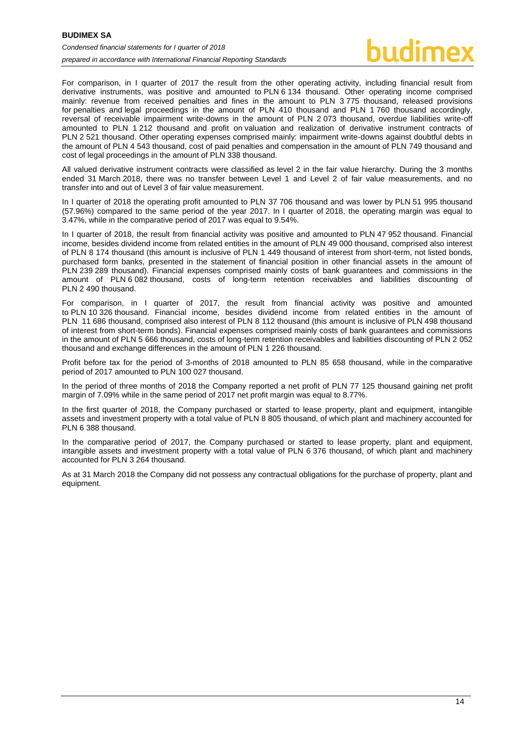For comparison, in I quarter of 2017 the result from the other operating activity, including financial result from derivative instruments, was positive and amounted to PLN 6 134 thousand. Other operating income comprised mainly: revenue from received penalties and fines in the amount to PLN 3 775 thousand, released provisions for penalties and legal proceedings in the amount of PLN 410 thousand and PLN 1 760 thousand accordingly, reversal of receivable impairment write-downs in the amount of PLN 2 073 thousand, overdue liabilities write-off amounted to PLN 1 212 thousand and profit on valuation and realization of derivative instrument contracts of PLN 2 521 thousand. Other operating expenses comprised mainly: impairment write-downs against doubtful debts in the amount of PLN 4 543 thousand, cost of paid penalties and compensation in the amount of PLN 749 thousand and cost of legal proceedings in the amount of PLN 338 thousand.

All valued derivative instrument contracts were classified as level 2 in the fair value hierarchy. During the 3 months ended 31 March 2018, there was no transfer between Level 1 and Level 2 of fair value measurements, and no transfer into and out of Level 3 of fair value measurement.

In I quarter of 2018 the operating profit amounted to PLN 37 706 thousand and was lower by PLN 51 995 thousand (57.96%) compared to the same period of the year 2017. In I quarter of 2018, the operating margin was equal to 3.47%, while in the comparative period of 2017 was equal to 9.54%.

In I quarter of 2018, the result from financial activity was positive and amounted to PLN 47 952 thousand. Financial income, besides dividend income from related entities in the amount of PLN 49 000 thousand, comprised also interest of PLN 8 174 thousand (this amount is inclusive of PLN 1 449 thousand of interest from short-term, not listed bonds, purchased form banks, presented in the statement of financial position in other financial assets in the amount of PLN 239 289 thousand). Financial expenses comprised mainly costs of bank guarantees and commissions in the amount of PLN 6 082 thousand, costs of long-term retention receivables and liabilities discounting of PLN 2 490 thousand.

For comparison, in I quarter of 2017, the result from financial activity was positive and amounted to PLN 10 326 thousand. Financial income, besides dividend income from related entities in the amount of PLN 11 686 thousand, comprised also interest of PLN 8 112 thousand (this amount is inclusive of PLN 498 thousand of interest from short-term bonds). Financial expenses comprised mainly costs of bank guarantees and commissions in the amount of PLN 5 666 thousand, costs of long-term retention receivables and liabilities discounting of PLN 2 052 thousand and exchange differences in the amount of PLN 1 226 thousand.

Profit before tax for the period of 3-months of 2018 amounted to PLN 85 658 thousand, while in the comparative period of 2017 amounted to PLN 100 027 thousand.

In the period of three months of 2018 the Company reported a net profit of PLN 77 125 thousand gaining net profit margin of 7.09% while in the same period of 2017 net profit margin was equal to 8.77%.

In the first quarter of 2018, the Company purchased or started to lease property, plant and equipment, intangible assets and investment property with a total value of PLN 8 805 thousand, of which plant and machinery accounted for PLN 6 388 thousand.

In the comparative period of 2017, the Company purchased or started to lease property, plant and equipment, intangible assets and investment property with a total value of PLN 6 376 thousand, of which plant and machinery accounted for PLN 3 264 thousand.

As at 31 March 2018 the Company did not possess any contractual obligations for the purchase of property, plant and equipment.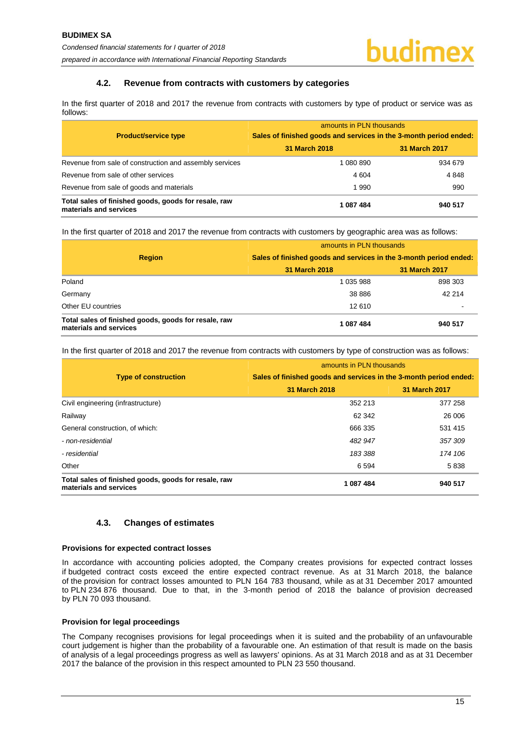#### **4.2. Revenue from contracts with customers by categories**

<span id="page-15-0"></span>In the first quarter of 2018 and 2017 the revenue from contracts with customers by type of product or service was as follows:

|                                                                                | amounts in PLN thousands                                          |               |  |  |
|--------------------------------------------------------------------------------|-------------------------------------------------------------------|---------------|--|--|
| <b>Product/service type</b>                                                    | Sales of finished goods and services in the 3-month period ended: |               |  |  |
|                                                                                | 31 March 2018                                                     | 31 March 2017 |  |  |
| Revenue from sale of construction and assembly services                        | 1 080 890                                                         | 934 679       |  |  |
| Revenue from sale of other services                                            | 4 604                                                             | 4848          |  |  |
| Revenue from sale of goods and materials                                       | 1990                                                              | 990           |  |  |
| Total sales of finished goods, goods for resale, raw<br>materials and services | 1087484                                                           | 940 517       |  |  |

In the first quarter of 2018 and 2017 the revenue from contracts with customers by geographic area was as follows:

|                                                                                | amounts in PLN thousands<br>Sales of finished goods and services in the 3-month period ended: |               |  |
|--------------------------------------------------------------------------------|-----------------------------------------------------------------------------------------------|---------------|--|
| <b>Region</b>                                                                  |                                                                                               |               |  |
|                                                                                | 31 March 2018                                                                                 | 31 March 2017 |  |
| Poland                                                                         | 1 035 988                                                                                     | 898 303       |  |
| Germany                                                                        | 38 8 8 6                                                                                      | 42 214        |  |
| Other EU countries                                                             | 12 610                                                                                        |               |  |
| Total sales of finished goods, goods for resale, raw<br>materials and services | 1087484                                                                                       | 940 517       |  |

In the first quarter of 2018 and 2017 the revenue from contracts with customers by type of construction was as follows:

|                                                                                | amounts in PLN thousands                                          |               |  |  |
|--------------------------------------------------------------------------------|-------------------------------------------------------------------|---------------|--|--|
| <b>Type of construction</b>                                                    | Sales of finished goods and services in the 3-month period ended: |               |  |  |
|                                                                                | 31 March 2018                                                     | 31 March 2017 |  |  |
| Civil engineering (infrastructure)                                             | 352 213                                                           | 377 258       |  |  |
| Railway                                                                        | 62 342                                                            | 26 006        |  |  |
| General construction, of which:                                                | 666 335                                                           | 531 415       |  |  |
| - non-residential                                                              | 482 947                                                           | 357309        |  |  |
| - residential                                                                  | 183 388                                                           | 174 106       |  |  |
| Other                                                                          | 6 5 9 4                                                           | 5838          |  |  |
| Total sales of finished goods, goods for resale, raw<br>materials and services | 1 087 484                                                         | 940 517       |  |  |

### **4.3. Changes of estimates**

#### <span id="page-15-1"></span>**Provisions for expected contract losses**

In accordance with accounting policies adopted, the Company creates provisions for expected contract losses if budgeted contract costs exceed the entire expected contract revenue. As at 31 March 2018, the balance of the provision for contract losses amounted to PLN 164 783 thousand, while as at 31 December 2017 amounted to PLN 234 876 thousand. Due to that, in the 3-month period of 2018 the balance of provision decreased by PLN 70 093 thousand.

#### **Provision for legal proceedings**

The Company recognises provisions for legal proceedings when it is suited and the probability of an unfavourable court judgement is higher than the probability of a favourable one. An estimation of that result is made on the basis of analysis of a legal proceedings progress as well as lawyers' opinions. As at 31 March 2018 and as at 31 December 2017 the balance of the provision in this respect amounted to PLN 23 550 thousand.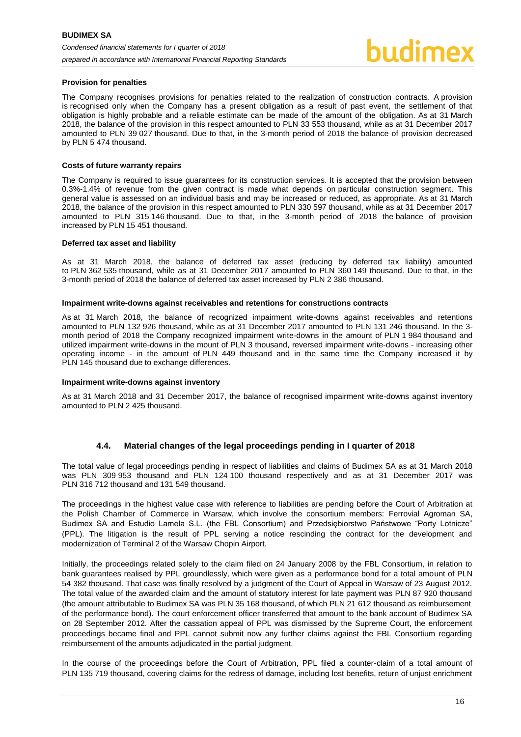#### **Provision for penalties**

The Company recognises provisions for penalties related to the realization of construction contracts. A provision is recognised only when the Company has a present obligation as a result of past event, the settlement of that obligation is highly probable and a reliable estimate can be made of the amount of the obligation. As at 31 March 2018, the balance of the provision in this respect amounted to PLN 33 553 thousand, while as at 31 December 2017 amounted to PLN 39 027 thousand. Due to that, in the 3-month period of 2018 the balance of provision decreased by PLN 5 474 thousand.

#### **Costs of future warranty repairs**

The Company is required to issue guarantees for its construction services. It is accepted that the provision between 0.3%-1.4% of revenue from the given contract is made what depends on particular construction segment. This general value is assessed on an individual basis and may be increased or reduced, as appropriate. As at 31 March 2018, the balance of the provision in this respect amounted to PLN 330 597 thousand, while as at 31 December 2017 amounted to PLN 315 146 thousand. Due to that, in the 3-month period of 2018 the balance of provision increased by PLN 15 451 thousand.

#### **Deferred tax asset and liability**

As at 31 March 2018, the balance of deferred tax asset (reducing by deferred tax liability) amounted to PLN 362 535 thousand, while as at 31 December 2017 amounted to PLN 360 149 thousand. Due to that, in the 3-month period of 2018 the balance of deferred tax asset increased by PLN 2 386 thousand.

#### **Impairment write-downs against receivables and retentions for constructions contracts**

As at 31 March 2018, the balance of recognized impairment write-downs against receivables and retentions amounted to PLN 132 926 thousand, while as at 31 December 2017 amounted to PLN 131 246 thousand. In the 3 month period of 2018 the Company recognized impairment write-downs in the amount of PLN 1 984 thousand and utilized impairment write-downs in the mount of PLN 3 thousand, reversed impairment write-downs - increasing other operating income - in the amount of PLN 449 thousand and in the same time the Company increased it by PLN 145 thousand due to exchange differences.

#### **Impairment write-downs against inventory**

As at 31 March 2018 and 31 December 2017, the balance of recognised impairment write-downs against inventory amounted to PLN 2 425 thousand.

#### **4.4. Material changes of the legal proceedings pending in I quarter of 2018**

<span id="page-16-0"></span>The total value of legal proceedings pending in respect of liabilities and claims of Budimex SA as at 31 March 2018 was PLN 309 953 thousand and PLN 124 100 thousand respectively and as at 31 December 2017 was PLN 316 712 thousand and 131 549 thousand.

The proceedings in the highest value case with reference to liabilities are pending before the Court of Arbitration at the Polish Chamber of Commerce in Warsaw, which involve the consortium members: Ferrovial Agroman SA, Budimex SA and Estudio Lamela S.L. (the FBL Consortium) and Przedsiębiorstwo Państwowe "Porty Lotnicze" (PPL). The litigation is the result of PPL serving a notice rescinding the contract for the development and modernization of Terminal 2 of the Warsaw Chopin Airport.

Initially, the proceedings related solely to the claim filed on 24 January 2008 by the FBL Consortium, in relation to bank guarantees realised by PPL groundlessly, which were given as a performance bond for a total amount of PLN 54 382 thousand. That case was finally resolved by a judgment of the Court of Appeal in Warsaw of 23 August 2012. The total value of the awarded claim and the amount of statutory interest for late payment was PLN 87 920 thousand (the amount attributable to Budimex SA was PLN 35 168 thousand, of which PLN 21 612 thousand as reimbursement of the performance bond). The court enforcement officer transferred that amount to the bank account of Budimex SA on 28 September 2012. After the cassation appeal of PPL was dismissed by the Supreme Court, the enforcement proceedings became final and PPL cannot submit now any further claims against the FBL Consortium regarding reimbursement of the amounts adjudicated in the partial judgment.

In the course of the proceedings before the Court of Arbitration, PPL filed a counter-claim of a total amount of PLN 135 719 thousand, covering claims for the redress of damage, including lost benefits, return of unjust enrichment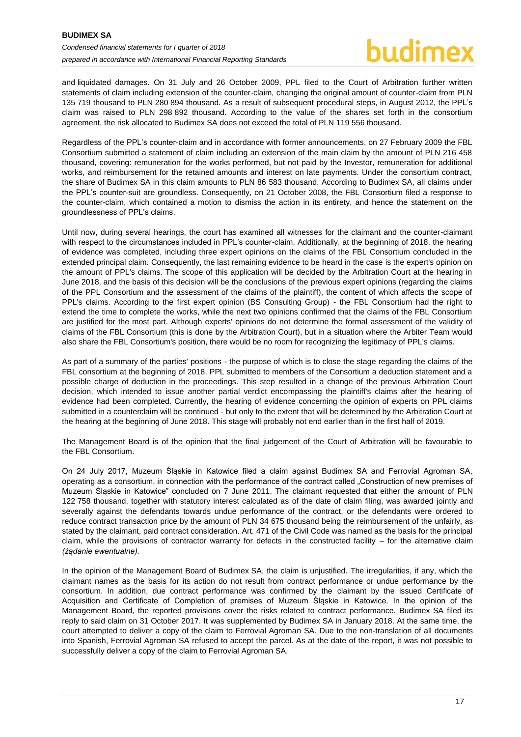and liquidated damages. On 31 July and 26 October 2009, PPL filed to the Court of Arbitration further written statements of claim including extension of the counter-claim, changing the original amount of counter-claim from PLN 135 719 thousand to PLN 280 894 thousand. As a result of subsequent procedural steps, in August 2012, the PPL's claim was raised to PLN 298 892 thousand. According to the value of the shares set forth in the consortium agreement, the risk allocated to Budimex SA does not exceed the total of PLN 119 556 thousand.

Regardless of the PPL's counter-claim and in accordance with former announcements, on 27 February 2009 the FBL Consortium submitted a statement of claim including an extension of the main claim by the amount of PLN 216 458 thousand, covering: remuneration for the works performed, but not paid by the Investor, remuneration for additional works, and reimbursement for the retained amounts and interest on late payments. Under the consortium contract, the share of Budimex SA in this claim amounts to PLN 86 583 thousand. According to Budimex SA, all claims under the PPL's counter-suit are groundless. Consequently, on 21 October 2008, the FBL Consortium filed a response to the counter-claim, which contained a motion to dismiss the action in its entirety, and hence the statement on the groundlessness of PPL's claims.

Until now, during several hearings, the court has examined all witnesses for the claimant and the counter-claimant with respect to the circumstances included in PPL's counter-claim. Additionally, at the beginning of 2018, the hearing of evidence was completed, including three expert opinions on the claims of the FBL Consortium concluded in the extended principal claim. Consequently, the last remaining evidence to be heard in the case is the expert's opinion on the amount of PPL's claims. The scope of this application will be decided by the Arbitration Court at the hearing in June 2018, and the basis of this decision will be the conclusions of the previous expert opinions (regarding the claims of the PPL Consortium and the assessment of the claims of the plaintiff), the content of which affects the scope of PPL's claims. According to the first expert opinion (BS Consulting Group) - the FBL Consortium had the right to extend the time to complete the works, while the next two opinions confirmed that the claims of the FBL Consortium are justified for the most part. Although experts' opinions do not determine the formal assessment of the validity of claims of the FBL Consortium (this is done by the Arbitration Court), but in a situation where the Arbiter Team would also share the FBL Consortium's position, there would be no room for recognizing the legitimacy of PPL's claims.

As part of a summary of the parties' positions - the purpose of which is to close the stage regarding the claims of the FBL consortium at the beginning of 2018, PPL submitted to members of the Consortium a deduction statement and a possible charge of deduction in the proceedings. This step resulted in a change of the previous Arbitration Court decision, which intended to issue another partial verdict encompassing the plaintiff's claims after the hearing of evidence had been completed. Currently, the hearing of evidence concerning the opinion of experts on PPL claims submitted in a counterclaim will be continued - but only to the extent that will be determined by the Arbitration Court at the hearing at the beginning of June 2018. This stage will probably not end earlier than in the first half of 2019.

The Management Board is of the opinion that the final judgement of the Court of Arbitration will be favourable to the FBL Consortium.

On 24 July 2017, Muzeum Śląskie in Katowice filed a claim against Budimex SA and Ferrovial Agroman SA, operating as a consortium, in connection with the performance of the contract called "Construction of new premises of Muzeum Śląskie in Katowice" concluded on 7 June 2011. The claimant requested that either the amount of PLN 122 758 thousand, together with statutory interest calculated as of the date of claim filing, was awarded jointly and severally against the defendants towards undue performance of the contract, or the defendants were ordered to reduce contract transaction price by the amount of PLN 34 675 thousand being the reimbursement of the unfairly, as stated by the claimant, paid contract consideration. Art. 471 of the Civil Code was named as the basis for the principal claim, while the provisions of contractor warranty for defects in the constructed facility – for the alternative claim *(żądanie ewentualne).*

In the opinion of the Management Board of Budimex SA, the claim is unjustified. The irregularities, if any, which the claimant names as the basis for its action do not result from contract performance or undue performance by the consortium. In addition, due contract performance was confirmed by the claimant by the issued Certificate of Acquisition and Certificate of Completion of premises of Muzeum Śląskie in Katowice. In the opinion of the Management Board, the reported provisions cover the risks related to contract performance. Budimex SA filed its reply to said claim on 31 October 2017. It was supplemented by Budimex SA in January 2018. At the same time, the court attempted to deliver a copy of the claim to Ferrovial Agroman SA. Due to the non-translation of all documents into Spanish, Ferrovial Agroman SA refused to accept the parcel. As at the date of the report, it was not possible to successfully deliver a copy of the claim to Ferrovial Agroman SA.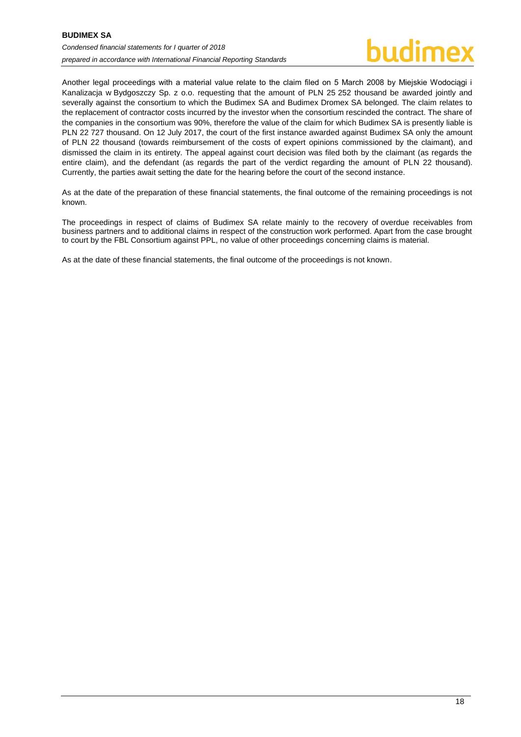Another legal proceedings with a material value relate to the claim filed on 5 March 2008 by Miejskie Wodociągi i Kanalizacja w Bydgoszczy Sp. z o.o. requesting that the amount of PLN 25 252 thousand be awarded jointly and severally against the consortium to which the Budimex SA and Budimex Dromex SA belonged. The claim relates to the replacement of contractor costs incurred by the investor when the consortium rescinded the contract. The share of the companies in the consortium was 90%, therefore the value of the claim for which Budimex SA is presently liable is PLN 22 727 thousand. On 12 July 2017, the court of the first instance awarded against Budimex SA only the amount of PLN 22 thousand (towards reimbursement of the costs of expert opinions commissioned by the claimant), and dismissed the claim in its entirety. The appeal against court decision was filed both by the claimant (as regards the entire claim), and the defendant (as regards the part of the verdict regarding the amount of PLN 22 thousand). Currently, the parties await setting the date for the hearing before the court of the second instance.

As at the date of the preparation of these financial statements, the final outcome of the remaining proceedings is not known.

The proceedings in respect of claims of Budimex SA relate mainly to the recovery of overdue receivables from business partners and to additional claims in respect of the construction work performed. Apart from the case brought to court by the FBL Consortium against PPL, no value of other proceedings concerning claims is material.

As at the date of these financial statements, the final outcome of the proceedings is not known.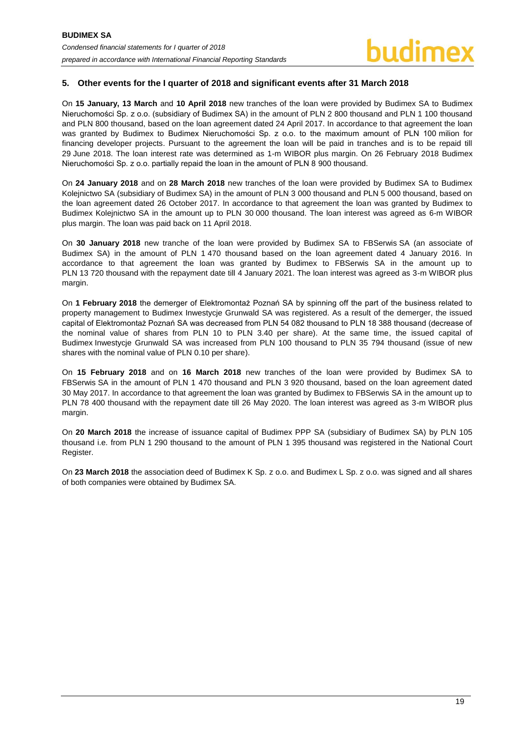### <span id="page-19-0"></span>**5. Other events for the I quarter of 2018 and significant events after 31 March 2018**

On **15 January, 13 March** and **10 April 2018** new tranches of the loan were provided by Budimex SA to Budimex Nieruchomości Sp. z o.o. (subsidiary of Budimex SA) in the amount of PLN 2 800 thousand and PLN 1 100 thousand and PLN 800 thousand, based on the loan agreement dated 24 April 2017. In accordance to that agreement the loan was granted by Budimex to Budimex Nieruchomości Sp. z o.o. to the maximum amount of PLN 100 milion for financing developer projects. Pursuant to the agreement the loan will be paid in tranches and is to be repaid till 29 June 2018. The loan interest rate was determined as 1-m WIBOR plus margin. On 26 February 2018 Budimex Nieruchomości Sp. z o.o. partially repaid the loan in the amount of PLN 8 900 thousand.

On **24 January 2018** and on **28 March 2018** new tranches of the loan were provided by Budimex SA to Budimex Kolejnictwo SA (subsidiary of Budimex SA) in the amount of PLN 3 000 thousand and PLN 5 000 thousand, based on the loan agreement dated 26 October 2017. In accordance to that agreement the loan was granted by Budimex to Budimex Kolejnictwo SA in the amount up to PLN 30 000 thousand. The loan interest was agreed as 6-m WIBOR plus margin. The loan was paid back on 11 April 2018.

On **30 January 2018** new tranche of the loan were provided by Budimex SA to FBSerwis SA (an associate of Budimex SA) in the amount of PLN 1 470 thousand based on the loan agreement dated 4 January 2016. In accordance to that agreement the loan was granted by Budimex to FBSerwis SA in the amount up to PLN 13 720 thousand with the repayment date till 4 January 2021. The loan interest was agreed as 3-m WIBOR plus margin.

On **1 February 2018** the demerger of Elektromontaż Poznań SA by spinning off the part of the business related to property management to Budimex Inwestycje Grunwald SA was registered. As a result of the demerger, the issued capital of Elektromontaż Poznań SA was decreased from PLN 54 082 thousand to PLN 18 388 thousand (decrease of the nominal value of shares from PLN 10 to PLN 3.40 per share). At the same time, the issued capital of Budimex Inwestycje Grunwald SA was increased from PLN 100 thousand to PLN 35 794 thousand (issue of new shares with the nominal value of PLN 0.10 per share).

On **15 February 2018** and on **16 March 2018** new tranches of the loan were provided by Budimex SA to FBSerwis SA in the amount of PLN 1 470 thousand and PLN 3 920 thousand, based on the loan agreement dated 30 May 2017. In accordance to that agreement the loan was granted by Budimex to FBSerwis SA in the amount up to PLN 78 400 thousand with the repayment date till 26 May 2020. The loan interest was agreed as 3-m WIBOR plus margin.

On **20 March 2018** the increase of issuance capital of Budimex PPP SA (subsidiary of Budimex SA) by PLN 105 thousand i.e. from PLN 1 290 thousand to the amount of PLN 1 395 thousand was registered in the National Court Register.

On **23 March 2018** the association deed of Budimex K Sp. z o.o. and Budimex L Sp. z o.o. was signed and all shares of both companies were obtained by Budimex SA.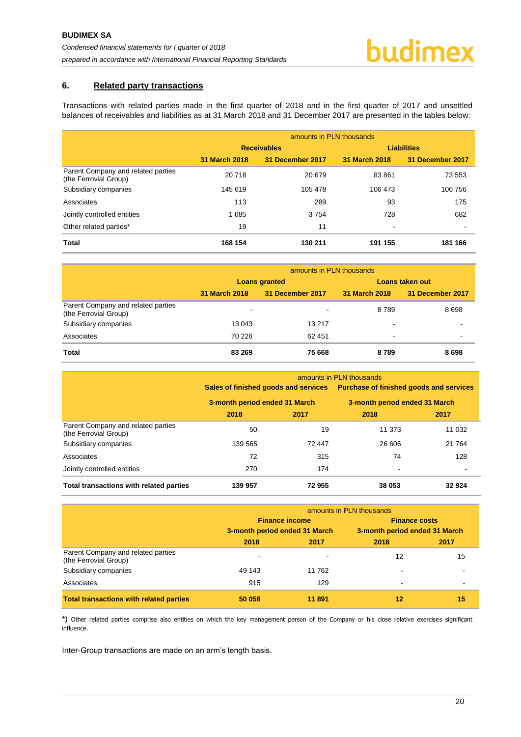#### <span id="page-20-0"></span>**6. Related party transactions**

Transactions with related parties made in the first quarter of 2018 and in the first quarter of 2017 and unsettled balances of receivables and liabilities as at 31 March 2018 and 31 December 2017 are presented in the tables below:

|                                                             | amounts in PLN thousands |                  |                          |                  |
|-------------------------------------------------------------|--------------------------|------------------|--------------------------|------------------|
|                                                             | <b>Receivables</b>       |                  | <b>Liabilities</b>       |                  |
|                                                             | 31 March 2018            | 31 December 2017 | 31 March 2018            | 31 December 2017 |
| Parent Company and related parties<br>(the Ferrovial Group) | 20718                    | 20 679           | 83861                    | 73 553           |
| Subsidiary companies                                        | 145 619                  | 105 478          | 106 473                  | 106 756          |
| Associates                                                  | 113                      | 289              | 93                       | 175              |
| Jointly controlled entities                                 | 1685                     | 3754             | 728                      | 682              |
| Other related parties*                                      | 19                       | 11               | $\overline{\phantom{a}}$ |                  |
| <b>Total</b>                                                | 168 154                  | 130 211          | 191 155                  | 181 166          |

|                                                             | amounts in PLN thousands |                  |                 |                  |
|-------------------------------------------------------------|--------------------------|------------------|-----------------|------------------|
|                                                             |                          | Loans granted    | Loans taken out |                  |
|                                                             | 31 March 2018            | 31 December 2017 | 31 March 2018   | 31 December 2017 |
| Parent Company and related parties<br>(the Ferrovial Group) | $\overline{\phantom{a}}$ |                  | 8789            | 8698             |
| Subsidiary companies                                        | 13 043                   | 13 217           |                 |                  |
| Associates                                                  | 70 226                   | 62 451           | ۰.              |                  |
| <b>Total</b>                                                | 83 269                   | 75 668           | 8789            | 8698             |

|                                                             | amounts in PLN thousands      |        |                                                                                                               |         |
|-------------------------------------------------------------|-------------------------------|--------|---------------------------------------------------------------------------------------------------------------|---------|
|                                                             | 3-month period ended 31 March |        | Sales of finished goods and services Purchase of finished goods and services<br>3-month period ended 31 March |         |
|                                                             |                               |        |                                                                                                               |         |
|                                                             | 2018                          | 2017   | 2018                                                                                                          | 2017    |
| Parent Company and related parties<br>(the Ferrovial Group) | 50                            | 19     | 11 373                                                                                                        | 11 0 32 |
| Subsidiary companies                                        | 139 565                       | 72 447 | 26 606                                                                                                        | 21 7 64 |
| Associates                                                  | 72                            | 315    | 74                                                                                                            | 128     |
| Jointly controlled entities                                 | 270                           | 174    |                                                                                                               |         |
| Total transactions with related parties                     | 139 957                       | 72955  | 38 053                                                                                                        | 32924   |

|                                                             | amounts in PLN thousands                               |        |                                                       |      |
|-------------------------------------------------------------|--------------------------------------------------------|--------|-------------------------------------------------------|------|
|                                                             | <b>Finance income</b><br>3-month period ended 31 March |        | <b>Finance costs</b><br>3-month period ended 31 March |      |
|                                                             |                                                        |        |                                                       |      |
|                                                             | 2018                                                   | 2017   | 2018                                                  | 2017 |
| Parent Company and related parties<br>(the Ferrovial Group) | $\blacksquare$                                         |        | 12                                                    | 15   |
| Subsidiary companies                                        | 49 143                                                 | 11 762 |                                                       |      |
| Associates                                                  | 915                                                    | 129    | $\overline{\phantom{0}}$                              |      |
| <b>Total transactions with related parties</b>              | 50 058                                                 | 11 891 | 12                                                    | 15   |

\*) Other related parties comprise also entities on which the key management person of the Company or his close relative exercises significant influence.

Inter-Group transactions are made on an arm's length basis.